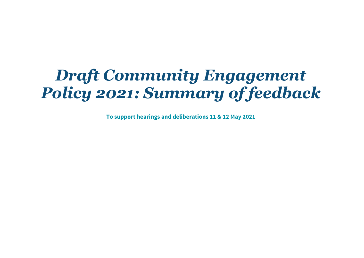# *Draft Community Engagement Policy 2021: Summary of feedback*

**To support hearings and deliberations 11 & 12 May 2021**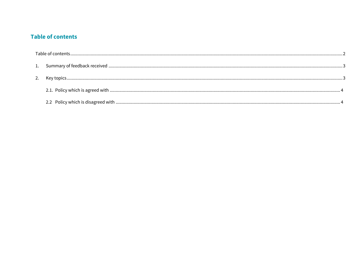## <span id="page-1-0"></span>**Table of contents**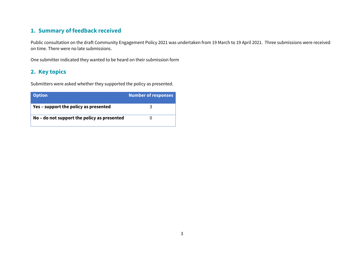## <span id="page-2-0"></span>**1. Summary of feedback received**

Public consultation on the draft Community Engagement Policy 2021 was undertaken from 19 March to 19 April 2021. Three submissions were received on time. There were no late submissions.

One submitter indicated they wanted to be heard on their submission form

## <span id="page-2-1"></span>**2. Key topics**

Submitters were asked whether they supported the policy as presented.

| <b>Option</b>                               | <b>Number of responses</b> |
|---------------------------------------------|----------------------------|
| Yes – support the policy as presented       |                            |
| No – do not support the policy as presented |                            |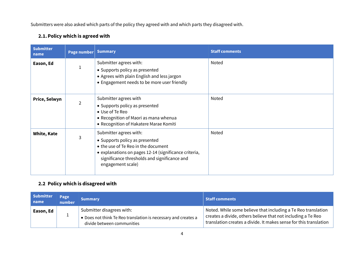Submitters were also asked which parts of the policy they agreed with and which parts they disagreed with.

### <span id="page-3-0"></span>**2.1.Policy which is agreed with**

| <b>Submitter</b><br>name | <b>Page number Summary</b> |                                                                                                                                                                                                                               | <b>Staff comments</b> |
|--------------------------|----------------------------|-------------------------------------------------------------------------------------------------------------------------------------------------------------------------------------------------------------------------------|-----------------------|
| Eason, Ed                |                            | Submitter agrees with:<br>• Supports policy as presented<br>• Agrees with plain English and less jargon<br>• Engagement needs to be more user friendly                                                                        | Noted                 |
| Price, Selwyn            | $\overline{2}$             | Submitter agrees with<br>• Supports policy as presented<br>• Use of Te Reo<br>• Recognition of Maori as mana whenua<br>• Recognition of Hakatere Marae Komiti                                                                 | Noted                 |
| <b>White, Kate</b>       | 3                          | Submitter agrees with:<br>• Supports policy as presented<br>• the use of Te Reo in the document<br>• explanations on pages 12-14 (significance criteria,<br>significance thresholds and significance and<br>engagement scale) | Noted                 |

### <span id="page-3-1"></span>**2.2 Policy which is disagreed with**

| <b>Submitter</b><br>name | Page<br>number | <b>Summary</b>                                                                                                            | <b>Staff comments</b>                                                                                                                                                                              |
|--------------------------|----------------|---------------------------------------------------------------------------------------------------------------------------|----------------------------------------------------------------------------------------------------------------------------------------------------------------------------------------------------|
| Eason, Ed                |                | Submitter disagrees with:<br>• Does not think Te Reo translation is necessary and creates a<br>divide between communities | Noted. While some believe that including a Te Reo translation<br>creates a divide, others believe that not including a Te Reo<br>translation creates a divide. It makes sense for this translation |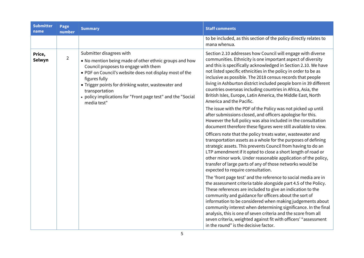| <b>Submitter</b><br>name | Page<br>number | <b>Summary</b>                                                                                                                                                                                                                                                                                                                                                | <b>Staff comments</b>                                                                                                                                                                                                                                                                                                                                                                                                                                                                                                                                                                                                                                      |
|--------------------------|----------------|---------------------------------------------------------------------------------------------------------------------------------------------------------------------------------------------------------------------------------------------------------------------------------------------------------------------------------------------------------------|------------------------------------------------------------------------------------------------------------------------------------------------------------------------------------------------------------------------------------------------------------------------------------------------------------------------------------------------------------------------------------------------------------------------------------------------------------------------------------------------------------------------------------------------------------------------------------------------------------------------------------------------------------|
|                          |                |                                                                                                                                                                                                                                                                                                                                                               | to be included, as this section of the policy directly relates to<br>mana whenua.                                                                                                                                                                                                                                                                                                                                                                                                                                                                                                                                                                          |
| Price,<br>Selwyn         | $\overline{2}$ | Submitter disagrees with<br>• No mention being made of other ethnic groups and how<br>Council proposes to engage with them<br>. PDF on Council's website does not display most of the<br>figures fully<br>• Trigger points for drinking water, wastewater and<br>transportation<br>• policy implications for "Front page test" and the "Social<br>media test" | Section 2.10 addresses how Council will engage with diverse<br>communities. Ethnicity is one important aspect of diversity<br>and this is specifically acknowledged in Section 2.10. We have<br>not listed specific ethnicities in the policy in order to be as<br>inclusive as possible. The 2018 census records that people<br>living in Ashburton district included people born in 39 different<br>countries overseas including countries in Africa, Asia, the<br>British Isles, Europe, Latin America, the Middle East, North<br>America and the Pacific.                                                                                              |
|                          |                |                                                                                                                                                                                                                                                                                                                                                               | The issue with the PDF of the Policy was not picked up until<br>after submissions closed, and officers apologise for this.<br>However the full policy was also included in the consultation<br>document therefore these figures were still available to view.<br>Officers note that the policy treats water, wastewater and<br>transportation assets as a whole for the purposes of defining<br>strategic assets. This prevents Council from having to do an<br>LTP amendment if it opted to close a short length of road or<br>other minor work. Under reasonable application of the policy,<br>transfer of large parts of any of those networks would be |
|                          |                |                                                                                                                                                                                                                                                                                                                                                               | expected to require consultation.<br>The 'front page test' and the reference to social media are in<br>the assessment criteria table alongside part 4.5 of the Policy.<br>These references are included to give an indication to the<br>community and guidance for officers about the sort of<br>information to be considered when making judgements about<br>community interest when determining significance. In the final<br>analysis, this is one of seven criteria and the score from all<br>seven criteria, weighted against fit with officers' "assessment<br>in the round" is the decisive factor.                                                 |